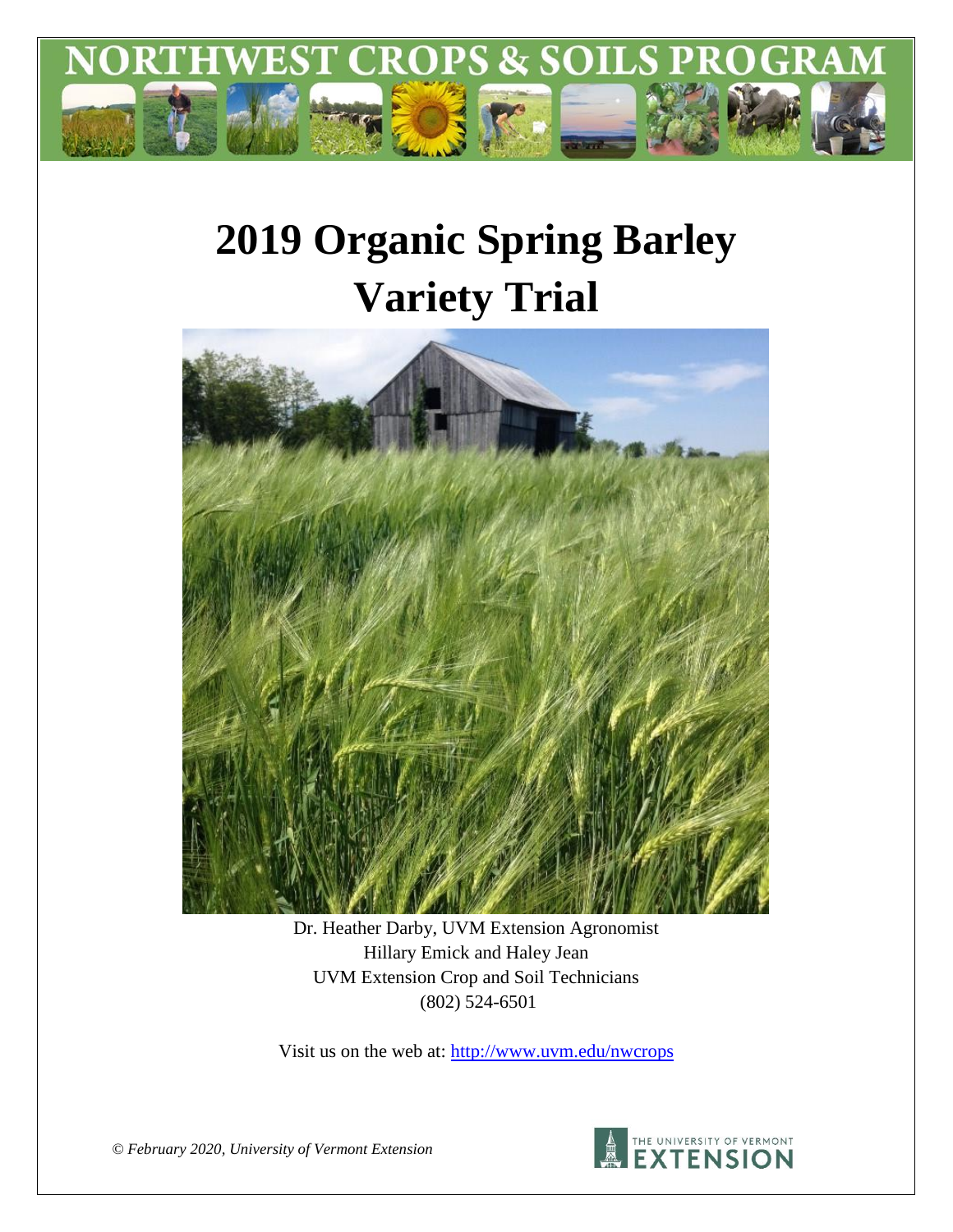

# **2019 Organic Spring Barley Variety Trial**



Dr. Heather Darby, UVM Extension Agronomist Hillary Emick and Haley Jean UVM Extension Crop and Soil Technicians (802) 524-6501

Visit us on the web at:<http://www.uvm.edu/nwcrops>



*© February 2020, University of Vermont Extension*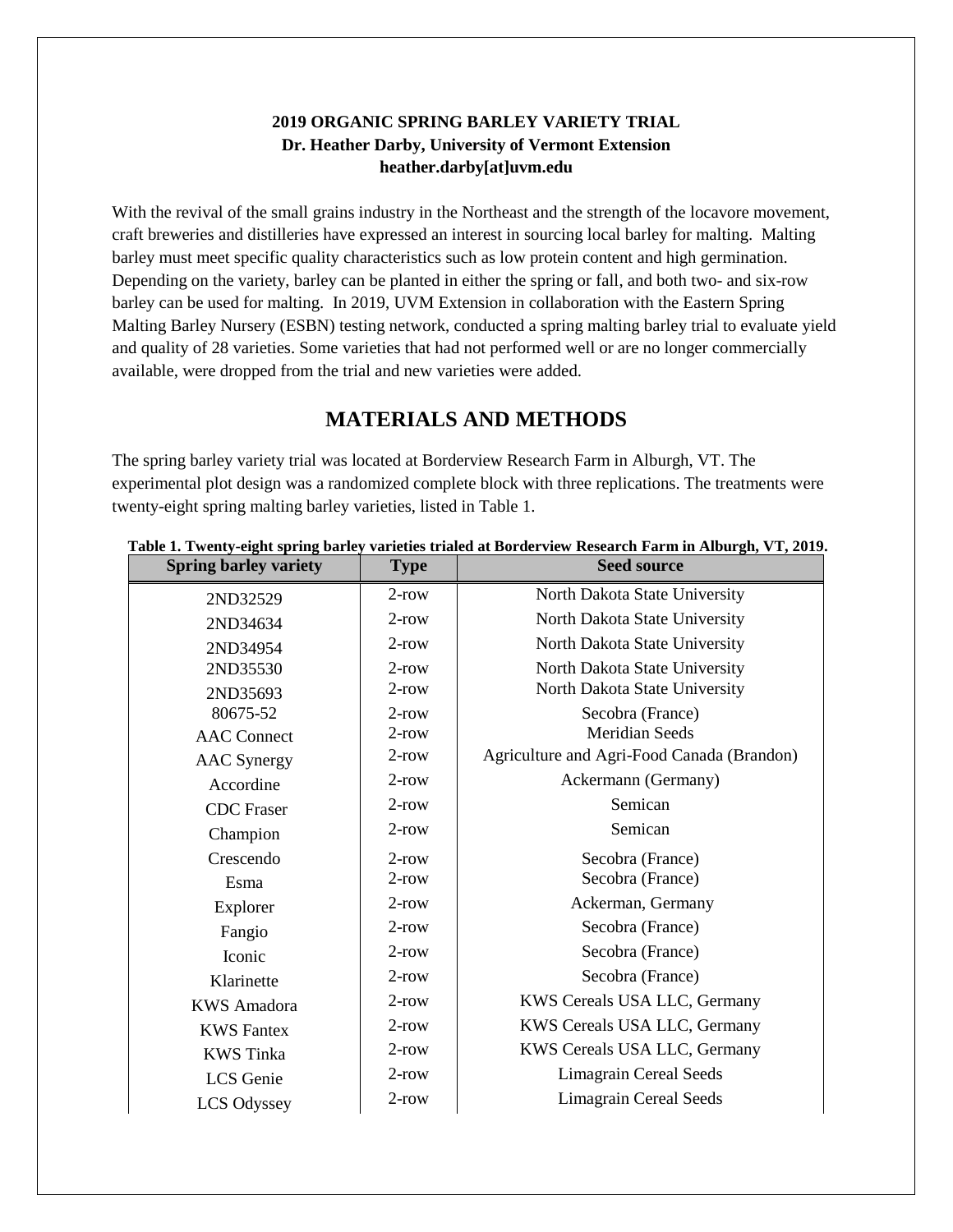#### **2019 ORGANIC SPRING BARLEY VARIETY TRIAL Dr. Heather Darby, University of Vermont Extension heather.darby[at]uvm.edu**

With the revival of the small grains industry in the Northeast and the strength of the locavore movement, craft breweries and distilleries have expressed an interest in sourcing local barley for malting. Malting barley must meet specific quality characteristics such as low protein content and high germination. Depending on the variety, barley can be planted in either the spring or fall, and both two- and six-row barley can be used for malting. In 2019, UVM Extension in collaboration with the Eastern Spring Malting Barley Nursery (ESBN) testing network, conducted a spring malting barley trial to evaluate yield and quality of 28 varieties. Some varieties that had not performed well or are no longer commercially available, were dropped from the trial and new varieties were added.

## **MATERIALS AND METHODS**

The spring barley variety trial was located at Borderview Research Farm in Alburgh, VT. The experimental plot design was a randomized complete block with three replications. The treatments were twenty-eight spring malting barley varieties, listed in Table 1.

| <b>Spring barley variety</b> | <b>Type</b> | <b>Seed source</b>                         |
|------------------------------|-------------|--------------------------------------------|
| 2ND32529                     | $2$ -row    | North Dakota State University              |
| 2ND34634                     | $2$ -row    | North Dakota State University              |
| 2ND34954                     | $2$ -row    | North Dakota State University              |
| 2ND35530                     | $2$ -row    | North Dakota State University              |
| 2ND35693                     | $2$ -row    | North Dakota State University              |
| 80675-52                     | $2$ -row    | Secobra (France)                           |
| <b>AAC</b> Connect           | $2$ -row    | <b>Meridian Seeds</b>                      |
| <b>AAC</b> Synergy           | $2$ -row    | Agriculture and Agri-Food Canada (Brandon) |
| Accordine                    | $2$ -row    | Ackermann (Germany)                        |
| <b>CDC</b> Fraser            | $2$ -row    | Semican                                    |
| Champion                     | $2$ -row    | Semican                                    |
| Crescendo                    | $2$ -row    | Secobra (France)                           |
| Esma                         | $2$ -row    | Secobra (France)                           |
| Explorer                     | $2$ -row    | Ackerman, Germany                          |
| Fangio                       | $2$ -row    | Secobra (France)                           |
| Iconic                       | $2$ -row    | Secobra (France)                           |
| Klarinette                   | $2$ -row    | Secobra (France)                           |
| <b>KWS</b> Amadora           | $2$ -row    | KWS Cereals USA LLC, Germany               |
| <b>KWS</b> Fantex            | $2$ -row    | KWS Cereals USA LLC, Germany               |
| <b>KWS</b> Tinka             | $2$ -row    | KWS Cereals USA LLC, Germany               |
| LCS Genie                    | $2$ -row    | <b>Limagrain Cereal Seeds</b>              |
| <b>LCS Odyssey</b>           | $2$ -row    | <b>Limagrain Cereal Seeds</b>              |

#### **Table 1. Twenty-eight spring barley varieties trialed at Borderview Research Farm in Alburgh, VT, 2019.**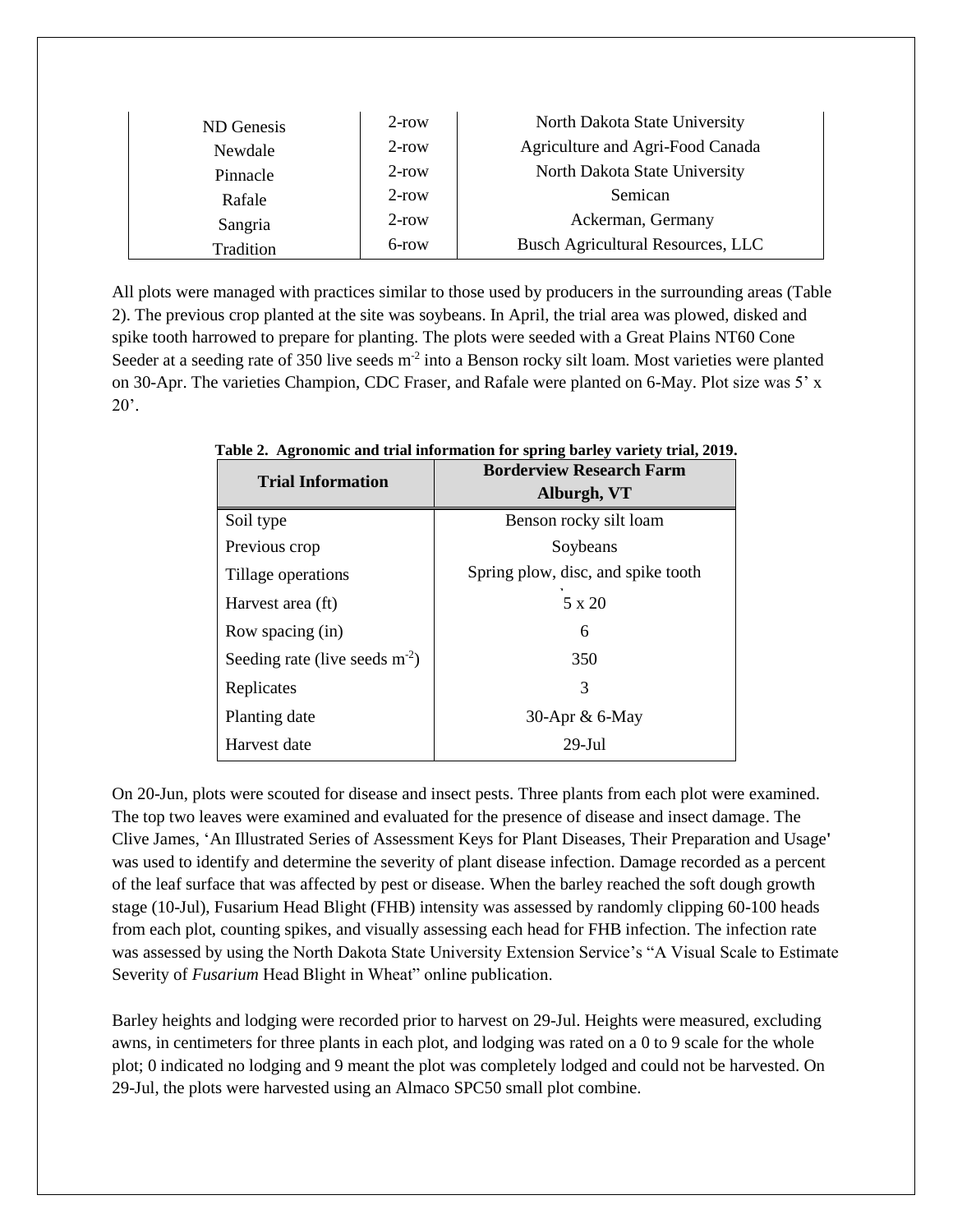| ND Genesis | $2$ -row | North Dakota State University            |
|------------|----------|------------------------------------------|
| Newdale    | $2$ -row | Agriculture and Agri-Food Canada         |
| Pinnacle   | $2$ -row | North Dakota State University            |
| Rafale     | $2$ -row | Semican                                  |
| Sangria    | $2$ -row | Ackerman, Germany                        |
| Tradition  | 6-row    | <b>Busch Agricultural Resources, LLC</b> |

All plots were managed with practices similar to those used by producers in the surrounding areas (Table 2). The previous crop planted at the site was soybeans. In April, the trial area was plowed, disked and spike tooth harrowed to prepare for planting. The plots were seeded with a Great Plains NT60 Cone Seeder at a seeding rate of 350 live seeds m<sup>-2</sup> into a Benson rocky silt loam. Most varieties were planted on 30-Apr. The varieties Champion, CDC Fraser, and Rafale were planted on 6-May. Plot size was 5' x  $20'$ .

| <b>Trial Information</b>        | <b>Borderview Research Farm</b><br>Alburgh, VT |
|---------------------------------|------------------------------------------------|
| Soil type                       | Benson rocky silt loam                         |
| Previous crop                   | Soybeans                                       |
| Tillage operations              | Spring plow, disc, and spike tooth             |
| Harvest area (ft)               | 5 x 20                                         |
| Row spacing (in)                | 6                                              |
| Seeding rate (live seeds $m2$ ) | 350                                            |
| Replicates                      | 3                                              |
| Planting date                   | 30-Apr & 6-May                                 |
| Harvest date                    | $29 - Iul$                                     |

**Table 2. Agronomic and trial information for spring barley variety trial, 2019.**

On 20-Jun, plots were scouted for disease and insect pests. Three plants from each plot were examined. The top two leaves were examined and evaluated for the presence of disease and insect damage. The Clive James, 'An Illustrated Series of Assessment Keys for Plant Diseases, Their Preparation and Usage**'** was used to identify and determine the severity of plant disease infection. Damage recorded as a percent of the leaf surface that was affected by pest or disease. When the barley reached the soft dough growth stage (10-Jul), Fusarium Head Blight (FHB) intensity was assessed by randomly clipping 60-100 heads from each plot, counting spikes, and visually assessing each head for FHB infection. The infection rate was assessed by using the North Dakota State University Extension Service's "A Visual Scale to Estimate Severity of *Fusarium* Head Blight in Wheat" online publication.

Barley heights and lodging were recorded prior to harvest on 29-Jul. Heights were measured, excluding awns, in centimeters for three plants in each plot, and lodging was rated on a 0 to 9 scale for the whole plot; 0 indicated no lodging and 9 meant the plot was completely lodged and could not be harvested. On 29-Jul, the plots were harvested using an Almaco SPC50 small plot combine.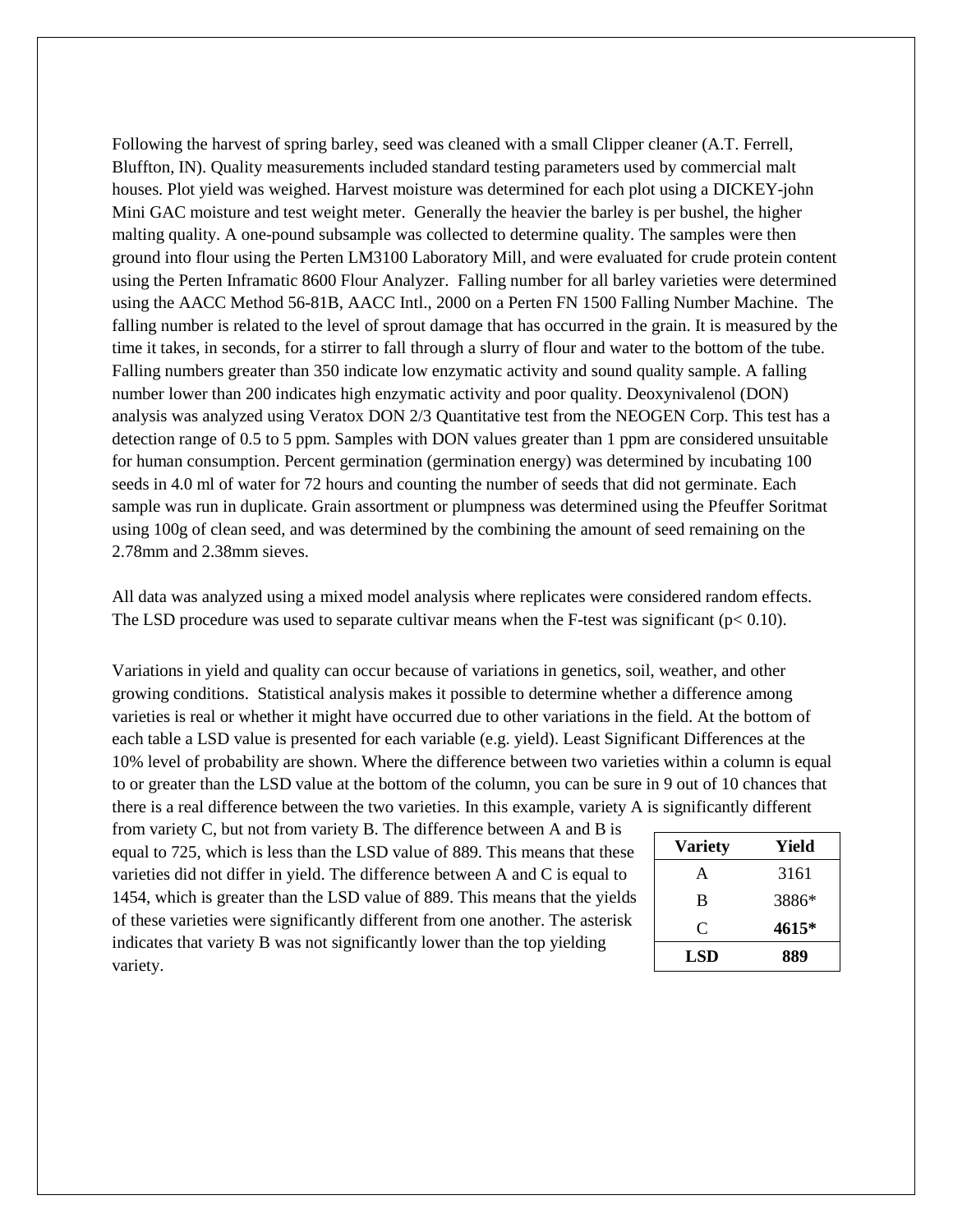Following the harvest of spring barley, seed was cleaned with a small Clipper cleaner (A.T. Ferrell, Bluffton, IN). Quality measurements included standard testing parameters used by commercial malt houses. Plot yield was weighed. Harvest moisture was determined for each plot using a DICKEY-john Mini GAC moisture and test weight meter. Generally the heavier the barley is per bushel, the higher malting quality. A one-pound subsample was collected to determine quality. The samples were then ground into flour using the Perten LM3100 Laboratory Mill, and were evaluated for crude protein content using the Perten Inframatic 8600 Flour Analyzer. Falling number for all barley varieties were determined using the AACC Method 56-81B, AACC Intl., 2000 on a Perten FN 1500 Falling Number Machine. The falling number is related to the level of sprout damage that has occurred in the grain. It is measured by the time it takes, in seconds, for a stirrer to fall through a slurry of flour and water to the bottom of the tube. Falling numbers greater than 350 indicate low enzymatic activity and sound quality sample. A falling number lower than 200 indicates high enzymatic activity and poor quality. Deoxynivalenol (DON) analysis was analyzed using Veratox DON 2/3 Quantitative test from the NEOGEN Corp. This test has a detection range of 0.5 to 5 ppm. Samples with DON values greater than 1 ppm are considered unsuitable for human consumption. Percent germination (germination energy) was determined by incubating 100 seeds in 4.0 ml of water for 72 hours and counting the number of seeds that did not germinate. Each sample was run in duplicate. Grain assortment or plumpness was determined using the Pfeuffer Soritmat using 100g of clean seed, and was determined by the combining the amount of seed remaining on the 2.78mm and 2.38mm sieves.

All data was analyzed using a mixed model analysis where replicates were considered random effects. The LSD procedure was used to separate cultivar means when the F-test was significant ( $p < 0.10$ ).

Variations in yield and quality can occur because of variations in genetics, soil, weather, and other growing conditions. Statistical analysis makes it possible to determine whether a difference among varieties is real or whether it might have occurred due to other variations in the field. At the bottom of each table a LSD value is presented for each variable (e.g. yield). Least Significant Differences at the 10% level of probability are shown. Where the difference between two varieties within a column is equal to or greater than the LSD value at the bottom of the column, you can be sure in 9 out of 10 chances that there is a real difference between the two varieties. In this example, variety A is significantly different

from variety C, but not from variety B. The difference between A and B is equal to 725, which is less than the LSD value of 889. This means that these varieties did not differ in yield. The difference between A and C is equal to 1454, which is greater than the LSD value of 889. This means that the yields of these varieties were significantly different from one another. The asterisk indicates that variety B was not significantly lower than the top yielding variety.

| <b>Variety</b> | Yield |
|----------------|-------|
| A              | 3161  |
| B              | 3886* |
| C              | 4615* |
| <b>LSD</b>     | 889   |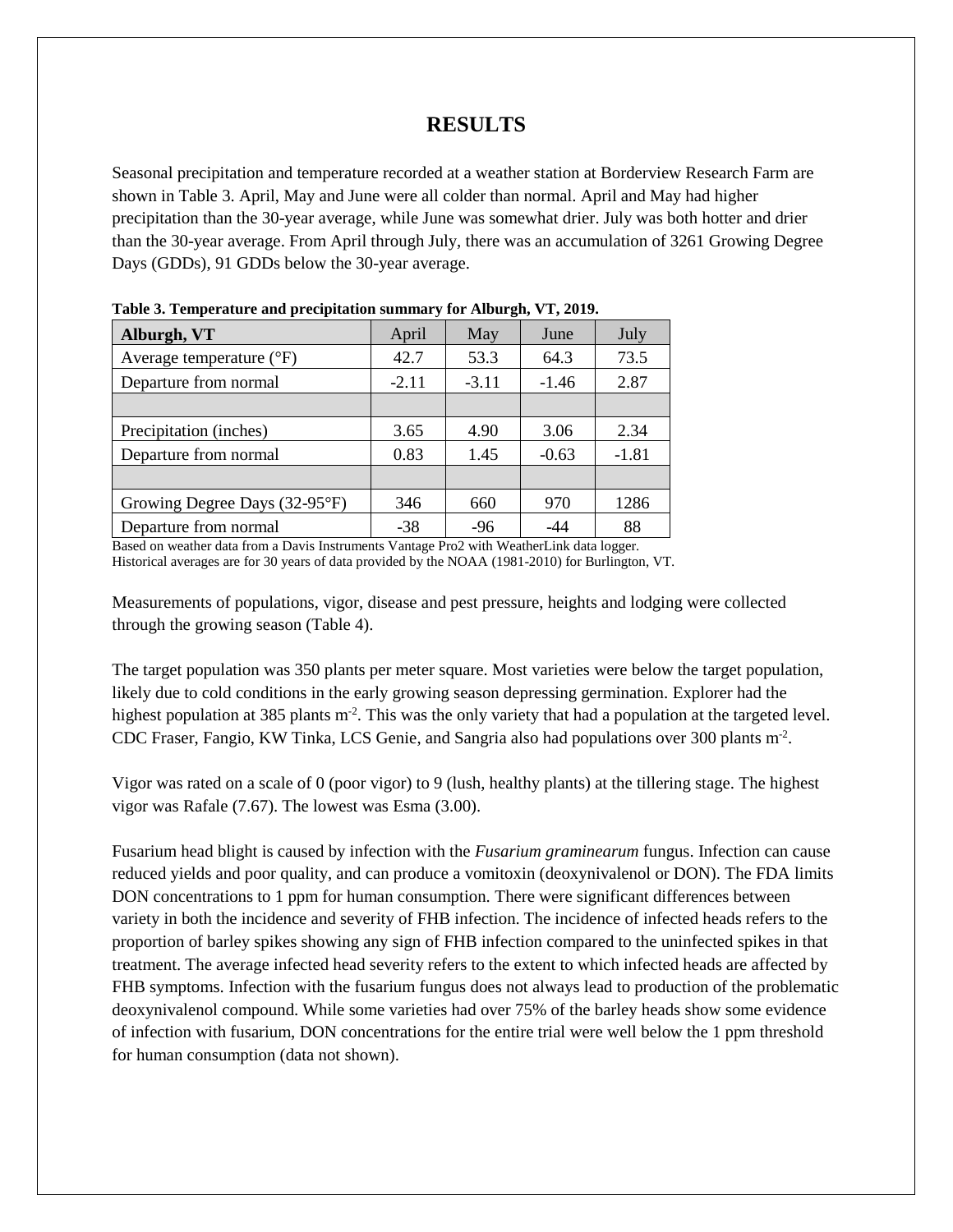## **RESULTS**

Seasonal precipitation and temperature recorded at a weather station at Borderview Research Farm are shown in Table 3. April, May and June were all colder than normal. April and May had higher precipitation than the 30-year average, while June was somewhat drier. July was both hotter and drier than the 30-year average. From April through July, there was an accumulation of 3261 Growing Degree Days (GDDs), 91 GDDs below the 30-year average.

| $\sim$ while the stamp we would be the providence of the statement $\sim$ . The statement $\sim$ statement $\sim$ |         |         |         |         |  |  |  |  |
|-------------------------------------------------------------------------------------------------------------------|---------|---------|---------|---------|--|--|--|--|
| Alburgh, VT                                                                                                       | April   | May     | June    | July    |  |  |  |  |
| Average temperature $(^{\circ}F)$                                                                                 | 42.7    | 53.3    | 64.3    | 73.5    |  |  |  |  |
| Departure from normal                                                                                             | $-2.11$ | $-3.11$ | $-1.46$ | 2.87    |  |  |  |  |
|                                                                                                                   |         |         |         |         |  |  |  |  |
| Precipitation (inches)                                                                                            | 3.65    | 4.90    | 3.06    | 2.34    |  |  |  |  |
| Departure from normal                                                                                             | 0.83    | 1.45    | $-0.63$ | $-1.81$ |  |  |  |  |
|                                                                                                                   |         |         |         |         |  |  |  |  |
| Growing Degree Days (32-95°F)                                                                                     | 346     | 660     | 970     | 1286    |  |  |  |  |
| Departure from normal                                                                                             | $-38$   | $-96$   | -44     | 88      |  |  |  |  |

**Table 3. Temperature and precipitation summary for Alburgh, VT, 2019.**

Based on weather data from a Davis Instruments Vantage Pro2 with WeatherLink data logger. Historical averages are for 30 years of data provided by the NOAA (1981-2010) for Burlington, VT.

Measurements of populations, vigor, disease and pest pressure, heights and lodging were collected through the growing season (Table 4).

The target population was 350 plants per meter square. Most varieties were below the target population, likely due to cold conditions in the early growing season depressing germination. Explorer had the highest population at 385 plants m<sup>-2</sup>. This was the only variety that had a population at the targeted level. CDC Fraser, Fangio, KW Tinka, LCS Genie, and Sangria also had populations over 300 plants m-2 .

Vigor was rated on a scale of 0 (poor vigor) to 9 (lush, healthy plants) at the tillering stage. The highest vigor was Rafale (7.67). The lowest was Esma (3.00).

Fusarium head blight is caused by infection with the *Fusarium graminearum* fungus. Infection can cause reduced yields and poor quality, and can produce a vomitoxin (deoxynivalenol or DON). The FDA limits DON concentrations to 1 ppm for human consumption. There were significant differences between variety in both the incidence and severity of FHB infection. The incidence of infected heads refers to the proportion of barley spikes showing any sign of FHB infection compared to the uninfected spikes in that treatment. The average infected head severity refers to the extent to which infected heads are affected by FHB symptoms. Infection with the fusarium fungus does not always lead to production of the problematic deoxynivalenol compound. While some varieties had over 75% of the barley heads show some evidence of infection with fusarium, DON concentrations for the entire trial were well below the 1 ppm threshold for human consumption (data not shown).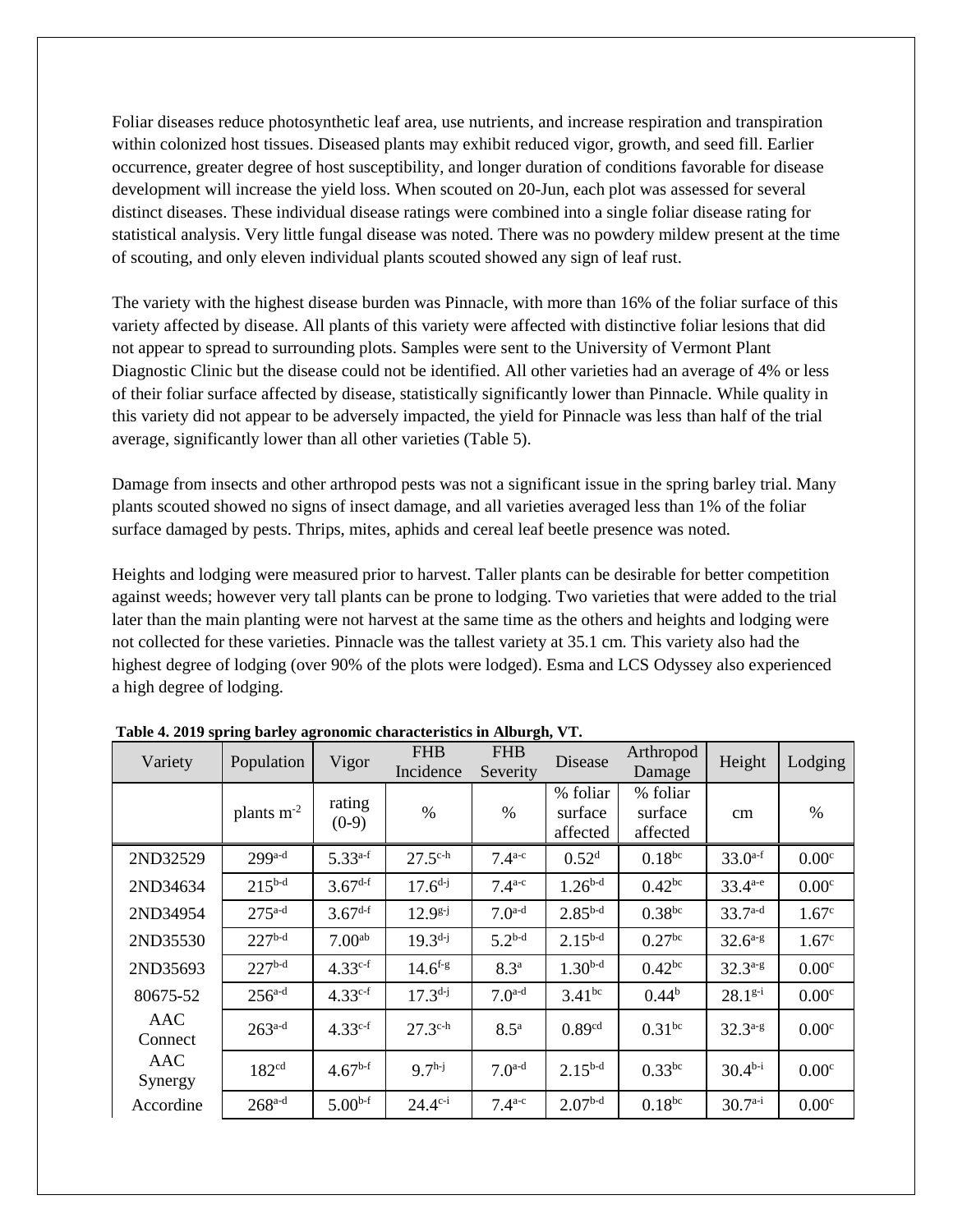Foliar diseases reduce photosynthetic leaf area, use nutrients, and increase respiration and transpiration within colonized host tissues. Diseased plants may exhibit reduced vigor, growth, and seed fill. Earlier occurrence, greater degree of host susceptibility, and longer duration of conditions favorable for disease development will increase the yield loss. When scouted on 20-Jun, each plot was assessed for several distinct diseases. These individual disease ratings were combined into a single foliar disease rating for statistical analysis. Very little fungal disease was noted. There was no powdery mildew present at the time of scouting, and only eleven individual plants scouted showed any sign of leaf rust.

The variety with the highest disease burden was Pinnacle, with more than 16% of the foliar surface of this variety affected by disease. All plants of this variety were affected with distinctive foliar lesions that did not appear to spread to surrounding plots. Samples were sent to the University of Vermont Plant Diagnostic Clinic but the disease could not be identified. All other varieties had an average of 4% or less of their foliar surface affected by disease, statistically significantly lower than Pinnacle. While quality in this variety did not appear to be adversely impacted, the yield for Pinnacle was less than half of the trial average, significantly lower than all other varieties (Table 5).

Damage from insects and other arthropod pests was not a significant issue in the spring barley trial. Many plants scouted showed no signs of insect damage, and all varieties averaged less than 1% of the foliar surface damaged by pests. Thrips, mites, aphids and cereal leaf beetle presence was noted.

Heights and lodging were measured prior to harvest. Taller plants can be desirable for better competition against weeds; however very tall plants can be prone to lodging. Two varieties that were added to the trial later than the main planting were not harvest at the same time as the others and heights and lodging were not collected for these varieties. Pinnacle was the tallest variety at 35.1 cm. This variety also had the highest degree of lodging (over 90% of the plots were lodged). Esma and LCS Odyssey also experienced a high degree of lodging.

| rabit + 2012 spring sarity agronomic chan<br>Variety | Population           | Vigor              | <b>FHB</b><br>Incidence | $\ldots$<br><b>FHB</b><br>Severity | Disease                         | Arthropod<br>Damage             | Height       | Lodging           |
|------------------------------------------------------|----------------------|--------------------|-------------------------|------------------------------------|---------------------------------|---------------------------------|--------------|-------------------|
|                                                      | plants $m-2$         | rating<br>$(0-9)$  | $\%$                    | $\%$                               | % foliar<br>surface<br>affected | % foliar<br>surface<br>affected | cm           | %                 |
| 2ND32529                                             | $299a-d$             | $5.33^{a-f}$       | $27.5^{\text{c-h}}$     | $7.4^{a-c}$                        | 0.52 <sup>d</sup>               | $0.18^{bc}$                     | $33.0^{a-f}$ | 0.00 <sup>c</sup> |
| 2ND34634                                             | $215^{b-d}$          | $3.67^{d-f}$       | $17.6^{d-j}$            | $7.4^{a-c}$                        | $1.26^{b-d}$                    | $0.42^{bc}$                     | $33.4^{a-e}$ | 0.00 <sup>c</sup> |
| 2ND34954                                             | $275^{\text{a-d}}$   | $3.67^{d-f}$       | $12.9^{g-j}$            | $7.0^{a-d}$                        | $2.85^{b-d}$                    | $0.38^{bc}$                     | $33.7^{a-d}$ | 1.67 <sup>c</sup> |
| 2ND35530                                             | $227b-d$             | 7.00 <sup>ab</sup> | $19.3^{d-j}$            | $5.2^{b-d}$                        | $2.15^{b-d}$                    | 0.27 <sup>bc</sup>              | $32.6^{a-g}$ | 1.67 <sup>c</sup> |
| 2ND35693                                             | $227^{b-d}$          | $4.33^{c-f}$       | $14.6$ <sup>f-g</sup>   | 8.3 <sup>a</sup>                   | $1.30^{b-d}$                    | $0.42^{bc}$                     | $32.3^{a-g}$ | 0.00 <sup>c</sup> |
| 80675-52                                             | $256^{a-d}$          | $4.33^{c-f}$       | $17.3^{d-j}$            | $7.0^{a-d}$                        | $3.41^{bc}$                     | $0.44^{b}$                      | $28.1^{g-i}$ | 0.00 <sup>c</sup> |
| AAC<br>Connect                                       | $263^{a-d}$          | $4.33^{c-f}$       | $27.3^{\text{c-h}}$     | $8.5^{\mathrm{a}}$                 | 0.89 <sup>cd</sup>              | $0.31^{bc}$                     | $32.3^{a-g}$ | 0.00 <sup>c</sup> |
| AAC<br>Synergy                                       | 182 <sup>cd</sup>    | $4.67^{b-f}$       | $9.7h-j$                | $7.0a-d$                           | $2.15^{b-d}$                    | $0.33$ bc                       | $30.4b-i$    | 0.00 <sup>c</sup> |
| Accordine                                            | $268$ <sup>a-d</sup> | $5.00^{b-f}$       | $24.4^{c-i}$            | $7.4^{a-c}$                        | $2.07b-d$                       | $0.18^{bc}$                     | $30.7a-i$    | 0.00 <sup>c</sup> |

**Table 4. 2019 spring barley agronomic characteristics in Alburgh, VT.**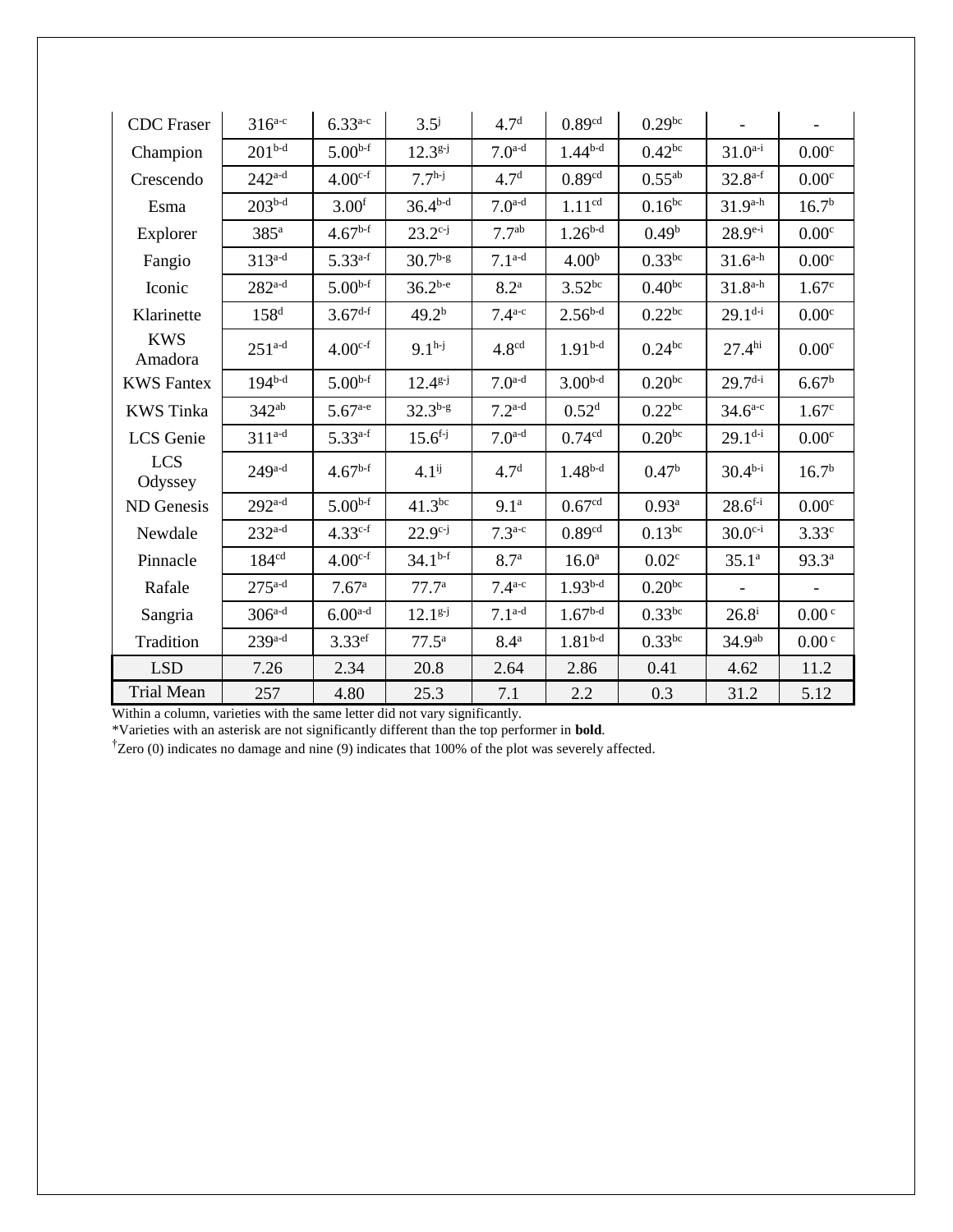| <b>CDC</b> Fraser     | $316^{a-c}$          | $6.33^{a-c}$       | $3.5^{\mathrm{j}}$ | 4.7 <sup>d</sup>  | 0.89 <sup>cd</sup> | $0.29^{bc}$        |                    |                   |
|-----------------------|----------------------|--------------------|--------------------|-------------------|--------------------|--------------------|--------------------|-------------------|
| Champion              | $201^{b-d}$          | $5.00^{b-f}$       | $12.3^{g-j}$       | $7.0^{a-d}$       | $1.44^{b-d}$       | $0.42^{bc}$        | $31.0^{a-i}$       | 0.00 <sup>c</sup> |
| Crescendo             | $242^{a-d}$          | $4.00^{c-f}$       | $7.7h-j$           | 4.7 <sup>d</sup>  | 0.89cd             | $0.55^{ab}$        | $32.8^{a-f}$       | 0.00 <sup>c</sup> |
| Esma                  | $203^{b-d}$          | 3.00 <sup>f</sup>  | $36.4^{b-d}$       | $7.0^{a-d}$       | 1.11 <sup>cd</sup> | $0.16^{bc}$        | $31.9^{a-h}$       | 16.7 <sup>b</sup> |
| Explorer              | $385^{\mathrm{a}}$   | $4.67^{b-f}$       | $23.2^{c-j}$       | 7.7 <sup>ab</sup> | $1.26^{b-d}$       | 0.49 <sup>b</sup>  | $28.9^{e-i}$       | 0.00 <sup>c</sup> |
| Fangio                | $313^{a-d}$          | $5.33^{a-f}$       | $30.7^{b-g}$       | $7.1^{a-d}$       | 4.00 <sup>b</sup>  | $0.33$ bc          | $31.6^{a-h}$       | 0.00 <sup>c</sup> |
| Iconic                | $282$ <sup>a-d</sup> | $5.00^{b-f}$       | $36.2^{b-e}$       | 8.2 <sup>a</sup>  | $3.52^{bc}$        | $0.40^{bc}$        | $31.8^{a-h}$       | 1.67 <sup>c</sup> |
| Klarinette            | 158 <sup>d</sup>     | $3.67^{d-f}$       | 49.2 <sup>b</sup>  | $7.4^{a-c}$       | $2.56^{b-d}$       | 0.22 <sup>bc</sup> | $29.1^{d-i}$       | 0.00 <sup>c</sup> |
| <b>KWS</b><br>Amadora | $251^{a-d}$          | $4.00c-f$          | $9.1h-j$           | 4.8 <sup>cd</sup> | $1.91b-d$          | $0.24^{bc}$        | 27.4 <sup>hi</sup> | 0.00 <sup>c</sup> |
| <b>KWS Fantex</b>     | $194^{b-d}$          | $5.00^{b-f}$       | $12.4^{g-j}$       | $7.0^{a-d}$       | $3.00b-d$          | $0.20^{bc}$        | $29.7^{d-i}$       | 6.67 <sup>b</sup> |
| <b>KWS</b> Tinka      | $342^{ab}$           | $5.67^{a-e}$       | $32.3^{b-g}$       | $7.2^{a-d}$       | 0.52 <sup>d</sup>  | $0.22^{bc}$        | $34.6^{a-c}$       | 1.67 <sup>c</sup> |
| LCS Genie             | $311^{a-d}$          | $5.33^{a-f}$       | $15.6^{f-j}$       | $7.0^{a-d}$       | 0.74 <sup>cd</sup> | $0.20^{bc}$        | $29.1^{d-i}$       | 0.00 <sup>c</sup> |
| <b>LCS</b><br>Odyssey | $249^{a-d}$          | $4.67^{b-f}$       | $4.1^{ij}$         | 4.7 <sup>d</sup>  | $1.48^{b-d}$       | 0.47 <sup>b</sup>  | $30.4^{b-i}$       | 16.7 <sup>b</sup> |
| ND Genesis            | $292^{a-d}$          | $5.00^{b-f}$       | $41.3^{bc}$        | 9.1 <sup>a</sup>  | 0.67 <sup>cd</sup> | $0.93^{\rm a}$     | $28.6^{f-i}$       | 0.00 <sup>c</sup> |
| Newdale               | $232^{a-d}$          | $4.33^{c-f}$       | $22.9^{c-j}$       | $7.3^{a-c}$       | 0.89 <sup>cd</sup> | $0.13^{bc}$        | $30.0^{c-i}$       | 3.33 <sup>c</sup> |
| Pinnacle              | 184 <sup>cd</sup>    | $4.00c-f$          | $34.1^{b-f}$       | 8.7 <sup>a</sup>  | 16.0 <sup>a</sup>  | 0.02 <sup>c</sup>  | 35.1 <sup>a</sup>  | $93.3^{a}$        |
| Rafale                | $275^{a-d}$          | 7.67 <sup>a</sup>  | 77.7 <sup>a</sup>  | $7.4^{a-c}$       | $1.93b-d$          | $0.20^{bc}$        |                    |                   |
| Sangria               | $306^{a-d}$          | $6.00a-d$          | $12.1g-j$          | $7.1^{a-d}$       | $1.67b-d$          | $0.33$ bc          | $26.8^{i}$         | 0.00 <sup>c</sup> |
| Tradition             | $239a-d$             | 3.33 <sup>ef</sup> | $77.5^{\rm a}$     | 8.4 <sup>a</sup>  | $1.81b-d$          | $0.33$ bc          | 34.9 <sup>ab</sup> | 0.00 <sup>c</sup> |
| <b>LSD</b>            | 7.26                 | 2.34               | 20.8               | 2.64              | 2.86               | 0.41               | 4.62               | 11.2              |
| <b>Trial Mean</b>     | 257                  | 4.80               | 25.3               | 7.1               | 2.2                | 0.3                | 31.2               | 5.12              |

Within a column, varieties with the same letter did not vary significantly.

\*Varieties with an asterisk are not significantly different than the top performer in **bold**.

†Zero (0) indicates no damage and nine (9) indicates that 100% of the plot was severely affected.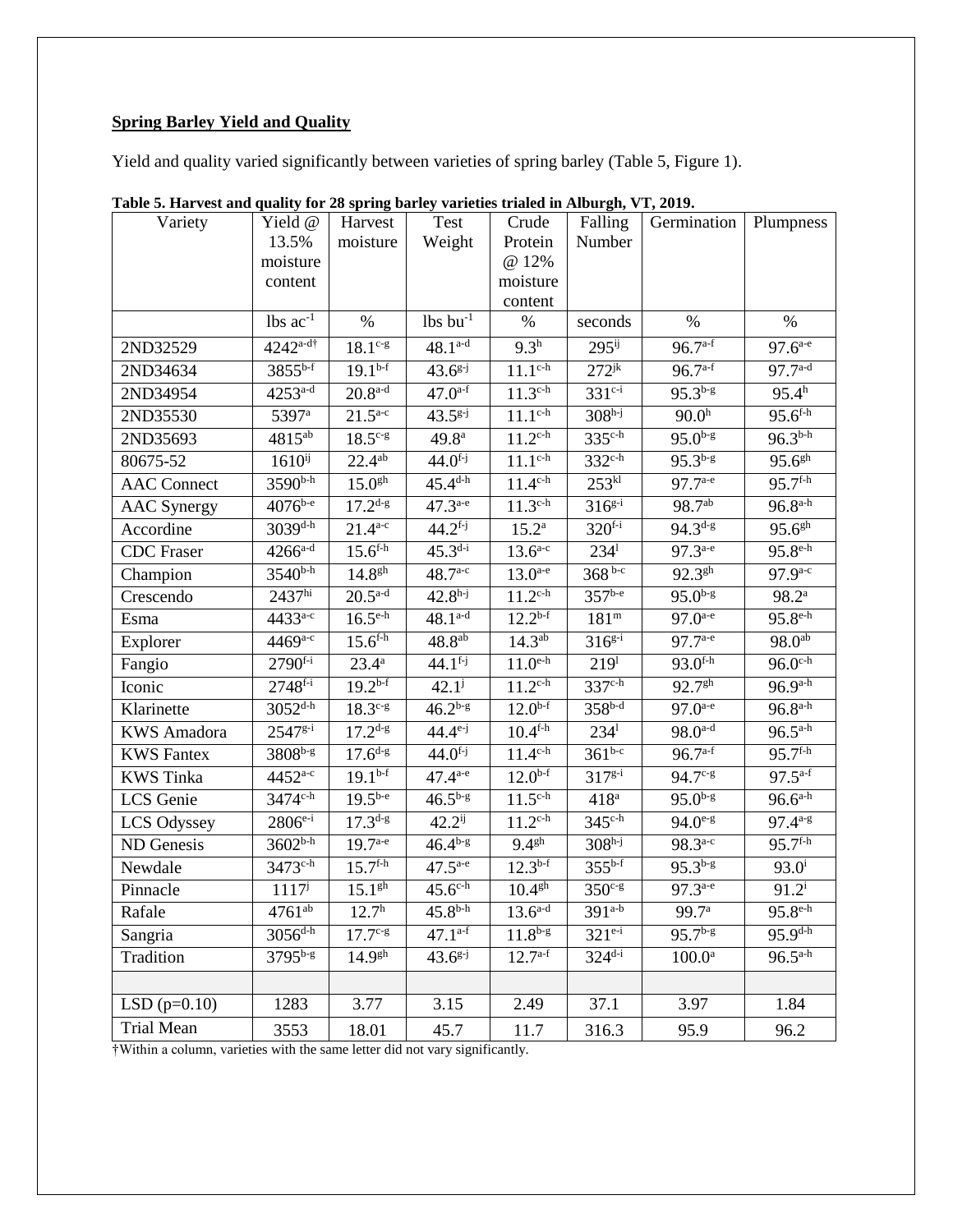# **Spring Barley Yield and Quality**

Yield and quality varied significantly between varieties of spring barley (Table 5, Figure 1).

| Variety            | Yield @                | Harvest                 | Test                   | Crude                   | Falling             | Germination            | Plumpness               |
|--------------------|------------------------|-------------------------|------------------------|-------------------------|---------------------|------------------------|-------------------------|
|                    | 13.5%                  | moisture                | Weight                 | Protein                 | Number              |                        |                         |
|                    | moisture               |                         |                        | @ 12%                   |                     |                        |                         |
|                    | content                |                         |                        | moisture                |                     |                        |                         |
|                    | $lbs$ ac <sup>-1</sup> | $\%$                    | $lbs$ bu <sup>-1</sup> | content<br>$\%$         | seconds             | $\%$                   | %                       |
|                    |                        |                         |                        |                         |                     |                        |                         |
| 2ND32529           | $4242^{a-d\dagger}$    | $18.1^{\circ -g}$       | $48.1^{a-d}$           | $9.3^h$                 | $295$ <sup>ij</sup> | $96.7^{a-f}$           | $97.\overline{6^{a-e}}$ |
| 2ND34634           | $3855^{b-f}$           | $19.1^{b-f}$            | $43.6^{g-j}$           | $11.1^{\text{c-h}}$     | $272^{jk}$          | $96.7^{a-f}$           | $97.7^{a-d}$            |
| 2ND34954           | $4253^{a-d}$           | $20.8$ <sup>a-d</sup>   | $47.0^{a-f}$           | $11.3^{\text{c-h}}$     | $331^{c-i}$         | $95.3^{b-g}$           | 95.4 <sup>h</sup>       |
| 2ND35530           | 5397 <sup>a</sup>      | $21.5^{a-c}$            | $43.5^{g-j}$           | $11.1^{\text{c-h}}$     | $308h-j$            | 90.0 <sup>h</sup>      | $95.6^{f-h}$            |
| 2ND35693           | $4815^{ab}$            | $18.5^{c-g}$            | 49.8 <sup>a</sup>      | $11.2^{\text{c-h}}$     | $335^{\text{c-h}}$  | $95.0^{b-g}$           | $96.3^{b-h}$            |
| 80675-52           | $1610^{ij}$            | $22.4^{ab}$             | $44.0^{f-j}$           | $11.1^{c-h}$            | $332^{c-h}$         | $95.3^{b-g}$           | 95.6 <sup>gh</sup>      |
| <b>AAC</b> Connect | 3590 <sup>b-h</sup>    | 15.0 <sup>gh</sup>      | $45.4^{d-h}$           | $11.4^{\text{c-h}}$     | 253 <sup>kl</sup>   | $97.7^{a-e}$           | $95.\overline{7^{f-h}}$ |
| <b>AAC</b> Synergy | $4076^{b-e}$           | $17.2^{d-g}$            | $47.3^{a-e}$           | $11.3^{\text{c-h}}$     | $316^{g-i}$         | 98.7 <sup>ab</sup>     | $96.8^{a-h}$            |
| Accordine          | $3039^{d-h}$           | $21.4^{a-c}$            | $44.2^{f-j}$           | $15.2^{\rm a}$          | $320^{f-i}$         | $94.3^{d-g}$           | $95.6^{gh}$             |
| <b>CDC</b> Fraser  | $4266^{a-d}$           | $15.6^{f-h}$            | $45.3^{d-i}$           | $13.6^{a-c}$            | $234^1$             | $97.3^{a-e}$           | $95.8^{\text{e-h}}$     |
| Champion           | $3540^{b-h}$           | 14.8 <sup>gh</sup>      | $48.7^{a-c}$           | $13.0^{a-e}$            | $368^{b-c}$         | $92.\overline{3^{gh}}$ | $97.9^{a-c}$            |
| Crescendo          | 2437 <sup>hi</sup>     | $20.5^{a-d}$            | $42.8h-j$              | $11.2^{c-h}$            | $357^{b-e}$         | $95.0^{b-g}$           | $98.2^{\rm a}$          |
| Esma               | 4433 <sup>a-c</sup>    | $16.\overline{5^{e-h}}$ | $48.1^{a-d}$           | $12.2^{b-f}$            | 181 <sup>m</sup>    | $97.0^{a-e}$           | $95.8^{\text{e-h}}$     |
| Explorer           | $4469^{a-c}$           | $15.6^{f-h}$            | $48.8^{ab}$            | $14.3^{ab}$             | $316^{g-i}$         | $97.7^{a-e}$           | 98.0 <sup>ab</sup>      |
| Fangio             | $2790^{f-i}$           | $23.4^{\rm a}$          | $44.1^{f-j}$           | $11.0^{e-h}$            | 219 <sup>1</sup>    | $93.0^{f-h}$           | $96.0^{\text{c-h}}$     |
| Iconic             | $2748^{f-i}$           | $19.2^{b-f}$            | $42.1^{j}$             | $11.2^{\text{c-h}}$     | 337 <sup>c-h</sup>  | 92.7 <sup>gh</sup>     | $96.9^{a-h}$            |
| Klarinette         | $3052^{d-h}$           | $18.3c-g$               | $46.2^{b-g}$           | $12.0^{b-f}$            | $358^{b-d}$         | $97.0^{a-e}$           | $96.8^{a-h}$            |
| <b>KWS</b> Amadora | $2547^{g-i}$           | $17.2^{d-g}$            | $44.4^{e-j}$           | $10.4^{\overline{f-h}}$ | $234^1$             | $98.0^{a-d}$           | $96.5^{a-h}$            |
| <b>KWS</b> Fantex  | $3808^{b-g}$           | $17.6^{d-g}$            | $44.0^{f-j}$           | $11.4^{\text{c-h}}$     | $361^{b-c}$         | $96.7^{a-f}$           | $95.7^{f-h}$            |
| <b>KWS</b> Tinka   | $4452^{a-c}$           | $19.1^{b-f}$            | $47.4^{a-e}$           | $12.\overline{0^{b-f}}$ | $317^{g-i}$         | 94.7 <sup>c-g</sup>    | $97.5^{a-f}$            |
| LCS Genie          | $3474^{\text{c-h}}$    | $19.5^{b-e}$            | $46.5^{b-g}$           | $11.5^{\text{c-h}}$     | 418 <sup>a</sup>    | $95.0^{b-g}$           | $96.6^{a-h}$            |
| LCS Odyssey        | $2806^{e-i}$           | $17.3^{d-g}$            | $42.2^{ij}$            | $11.2^{\text{c-h}}$     | $345^{\text{c-h}}$  | $94.0^{e-g}$           | $97.4^{a-g}$            |
| ND Genesis         | $3602^{b-h}$           | $19.7^{a-e}$            | $46.4^{b-g}$           | 9.4 <sup>gh</sup>       | $308h-j$            | $98.3^{a-c}$           | $95.7^{f-h}$            |
| Newdale            | $3473^{\text{c-h}}$    | $15.7^{f-h}$            | $47.5^{a-e}$           | $12.3^{b-f}$            | $355^{b-f}$         | $95.3^{b-g}$           | $93.0^{i}$              |
| Pinnacle           | $1117^{j}$             | 15.1 <sup>gh</sup>      | $45.6^{\text{c-h}}$    | $10.4$ <sup>gh</sup>    | $350c-g$            | $97.3^{a-e}$           | $91.2^i$                |
| Rafale             | $4761^{ab}$            | 12.7 <sup>h</sup>       | $45.8^{b-h}$           | $13.6^{\text{a-d}}$     | $391^{a-b}$         | 99.7 <sup>a</sup>      | $95.8^{\text{e-h}}$     |
| Sangria            | $3056^{d-h}$           | $17.7^{\circ g}$        | $47.1^{a-f}$           | $11.8^{b-g}$            | $321^{e-i}$         | $95.7^{b-g}$           | $95.9^{d-h}$            |
| Tradition          | 3795b-g                | 14.9 <sup>gh</sup>      | $43.6^{g-j}$           | $12.7^{a-f}$            | $324^{d-i}$         | $100.0^{\rm a}$        | $96.5^{a-h}$            |
|                    |                        |                         |                        |                         |                     |                        |                         |
| LSD $(p=0.10)$     | 1283                   | 3.77                    | 3.15                   | 2.49                    | 37.1                | 3.97                   | 1.84                    |
| Trial Mean         | 3553                   | 18.01                   | 45.7                   | 11.7                    | 316.3               | 95.9                   | 96.2                    |

| Table 5. Harvest and quality for 28 spring barley varieties trialed in Alburgh, VT, 2019. |  |  |  |
|-------------------------------------------------------------------------------------------|--|--|--|
|                                                                                           |  |  |  |

†Within a column, varieties with the same letter did not vary significantly.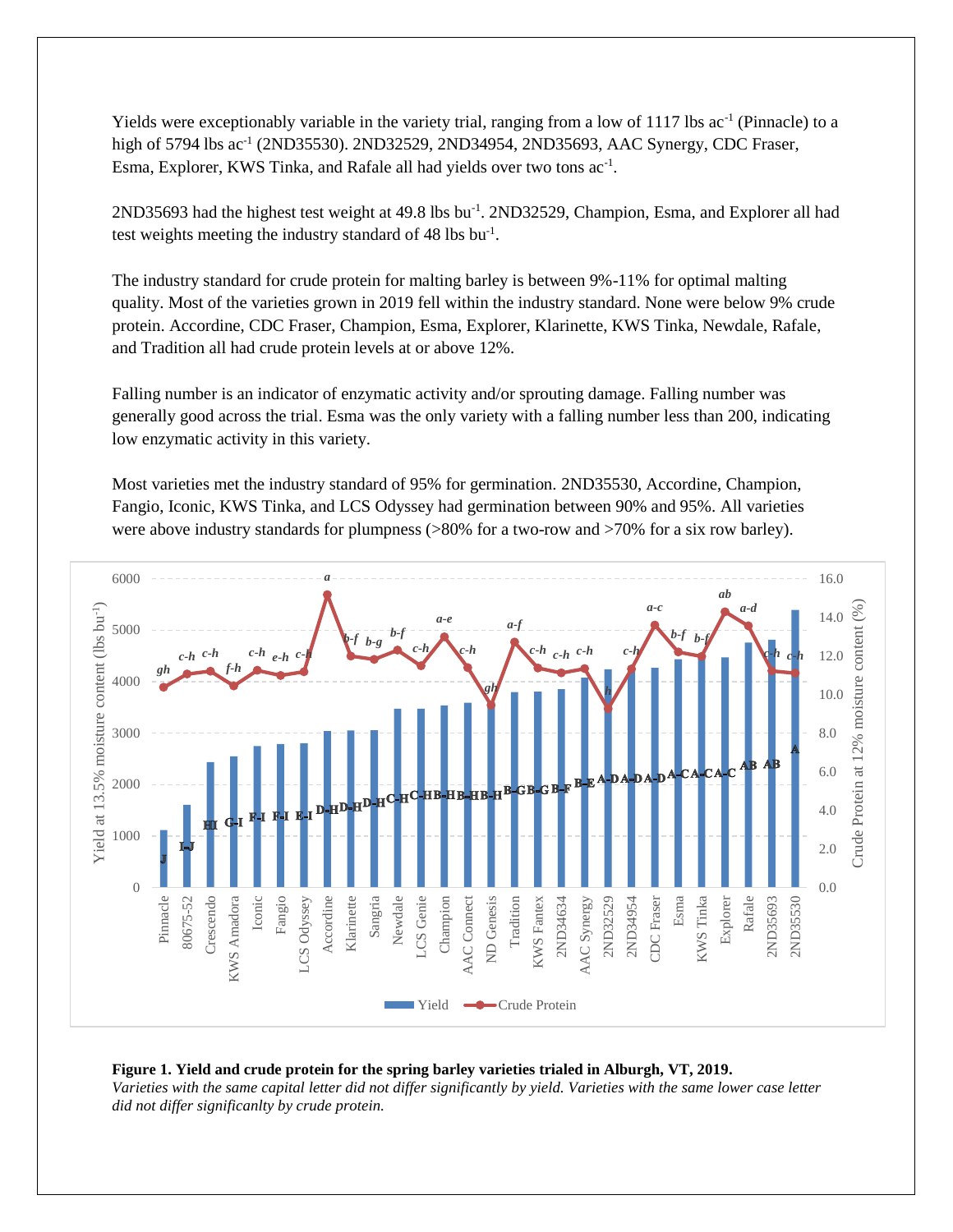Yields were exceptionably variable in the variety trial, ranging from a low of 1117 lbs ac<sup>-1</sup> (Pinnacle) to a high of 5794 lbs ac<sup>-1</sup> (2ND35530). 2ND32529, 2ND34954, 2ND35693, AAC Synergy, CDC Fraser, Esma, Explorer, KWS Tinka, and Rafale all had yields over two tons ac<sup>-1</sup>.

2ND35693 had the highest test weight at 49.8 lbs bu<sup>-1</sup>. 2ND32529, Champion, Esma, and Explorer all had test weights meeting the industry standard of  $48 \text{ lbs} \text{ bu}^{-1}$ .

The industry standard for crude protein for malting barley is between 9%-11% for optimal malting quality. Most of the varieties grown in 2019 fell within the industry standard. None were below 9% crude protein. Accordine, CDC Fraser, Champion, Esma, Explorer, Klarinette, KWS Tinka, Newdale, Rafale, and Tradition all had crude protein levels at or above 12%.

Falling number is an indicator of enzymatic activity and/or sprouting damage. Falling number was generally good across the trial. Esma was the only variety with a falling number less than 200, indicating low enzymatic activity in this variety.

Most varieties met the industry standard of 95% for germination. 2ND35530, Accordine, Champion, Fangio, Iconic, KWS Tinka, and LCS Odyssey had germination between 90% and 95%. All varieties were above industry standards for plumpness (>80% for a two-row and >70% for a six row barley).



#### **Figure 1. Yield and crude protein for the spring barley varieties trialed in Alburgh, VT, 2019.**

*Varieties with the same capital letter did not differ significantly by yield. Varieties with the same lower case letter did not differ significanlty by crude protein.*